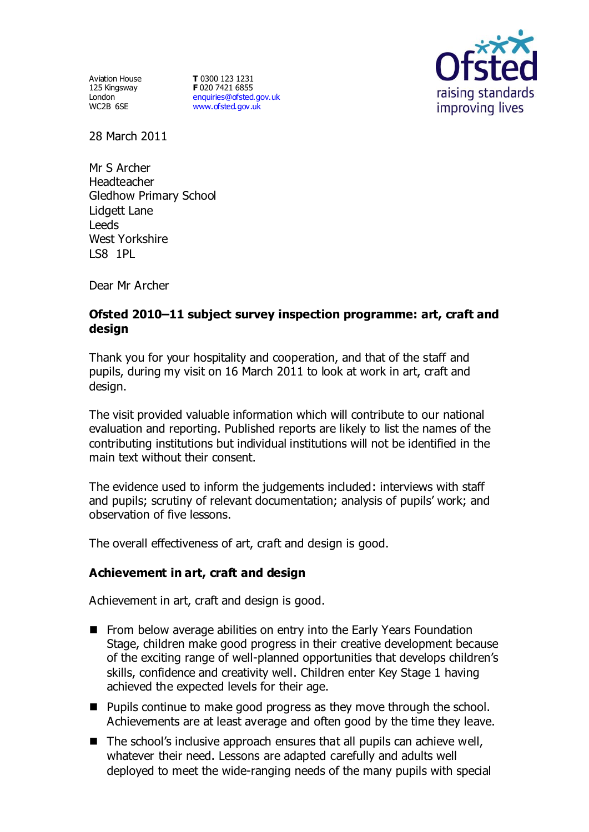Aviation House 125 Kingsway London WC2B 6SE

**T** 0300 123 1231 **F** 020 7421 6855 [enquiries@ofsted.gov.uk](mailto:enquiries@ofsted.gov.uk) [www.ofsted.gov.uk](http://www.ofsted.gov.uk/)



28 March 2011

Mr S Archer **Headteacher** Gledhow Primary School Lidgett Lane **Leeds** West Yorkshire LS8 1PL

Dear Mr Archer

# **Ofsted 2010–11 subject survey inspection programme: art, craft and design**

Thank you for your hospitality and cooperation, and that of the staff and pupils, during my visit on 16 March 2011 to look at work in art, craft and design.

The visit provided valuable information which will contribute to our national evaluation and reporting. Published reports are likely to list the names of the contributing institutions but individual institutions will not be identified in the main text without their consent.

The evidence used to inform the judgements included: interviews with staff and pupils; scrutiny of relevant documentation; analysis of pupils' work; and observation of five lessons.

The overall effectiveness of art, craft and design is good.

### **Achievement in art, craft and design**

Achievement in art, craft and design is good.

- **Fig.** From below average abilities on entry into the Early Years Foundation Stage, children make good progress in their creative development because of the exciting range of well-planned opportunities that develops children's skills, confidence and creativity well. Children enter Key Stage 1 having achieved the expected levels for their age.
- Pupils continue to make good progress as they move through the school. Achievements are at least average and often good by the time they leave.
- $\blacksquare$  The school's inclusive approach ensures that all pupils can achieve well, whatever their need. Lessons are adapted carefully and adults well deployed to meet the wide-ranging needs of the many pupils with special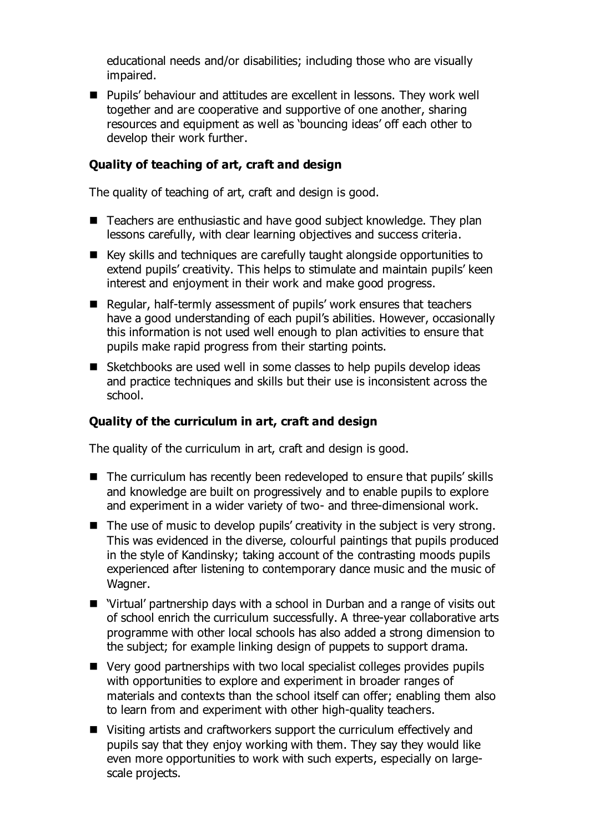educational needs and/or disabilities; including those who are visually impaired.

■ Pupils' behaviour and attitudes are excellent in lessons. They work well together and are cooperative and supportive of one another, sharing resources and equipment as well as 'bouncing ideas' off each other to develop their work further.

### **Quality of teaching of art, craft and design**

The quality of teaching of art, craft and design is good.

- Teachers are enthusiastic and have good subject knowledge. They plan lessons carefully, with clear learning objectives and success criteria.
- Key skills and techniques are carefully taught alongside opportunities to extend pupils' creativity. This helps to stimulate and maintain pupils' keen interest and enjoyment in their work and make good progress.
- Regular, half-termly assessment of pupils' work ensures that teachers have a good understanding of each pupil's abilities. However, occasionally this information is not used well enough to plan activities to ensure that pupils make rapid progress from their starting points.
- Sketchbooks are used well in some classes to help pupils develop ideas and practice techniques and skills but their use is inconsistent across the school.

# **Quality of the curriculum in art, craft and design**

The quality of the curriculum in art, craft and design is good.

- The curriculum has recently been redeveloped to ensure that pupils' skills and knowledge are built on progressively and to enable pupils to explore and experiment in a wider variety of two- and three-dimensional work.
- $\blacksquare$  The use of music to develop pupils' creativity in the subject is very strong. This was evidenced in the diverse, colourful paintings that pupils produced in the style of Kandinsky; taking account of the contrasting moods pupils experienced after listening to contemporary dance music and the music of Wagner.
- 'Virtual' partnership days with a school in Durban and a range of visits out of school enrich the curriculum successfully. A three-year collaborative arts programme with other local schools has also added a strong dimension to the subject; for example linking design of puppets to support drama.
- Very good partnerships with two local specialist colleges provides pupils with opportunities to explore and experiment in broader ranges of materials and contexts than the school itself can offer; enabling them also to learn from and experiment with other high-quality teachers.
- Visiting artists and craftworkers support the curriculum effectively and pupils say that they enjoy working with them. They say they would like even more opportunities to work with such experts, especially on largescale projects.